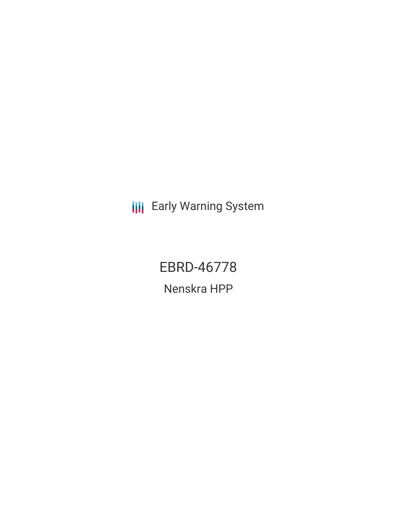**III** Early Warning System

EBRD-46778

Nenskra HPP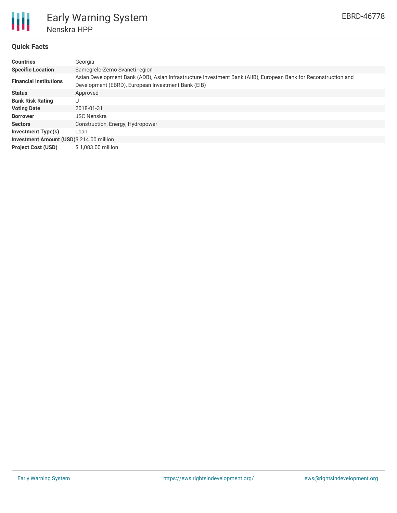

# **Quick Facts**

| <b>Countries</b>                         | Georgia                                                                                                                                                               |  |  |  |  |  |
|------------------------------------------|-----------------------------------------------------------------------------------------------------------------------------------------------------------------------|--|--|--|--|--|
| <b>Specific Location</b>                 | Samegrelo-Zemo Svaneti region                                                                                                                                         |  |  |  |  |  |
| <b>Financial Institutions</b>            | Asian Development Bank (ADB), Asian Infrastructure Investment Bank (AIIB), European Bank for Reconstruction and<br>Development (EBRD), European Investment Bank (EIB) |  |  |  |  |  |
| <b>Status</b>                            | Approved                                                                                                                                                              |  |  |  |  |  |
| <b>Bank Risk Rating</b>                  | U                                                                                                                                                                     |  |  |  |  |  |
| <b>Voting Date</b>                       | 2018-01-31                                                                                                                                                            |  |  |  |  |  |
| <b>Borrower</b>                          | <b>JSC Nenskra</b>                                                                                                                                                    |  |  |  |  |  |
| <b>Sectors</b>                           | Construction, Energy, Hydropower                                                                                                                                      |  |  |  |  |  |
| Investment Type(s)                       | Loan                                                                                                                                                                  |  |  |  |  |  |
| Investment Amount (USD)\$ 214.00 million |                                                                                                                                                                       |  |  |  |  |  |
| <b>Project Cost (USD)</b>                | \$1,083,00 million                                                                                                                                                    |  |  |  |  |  |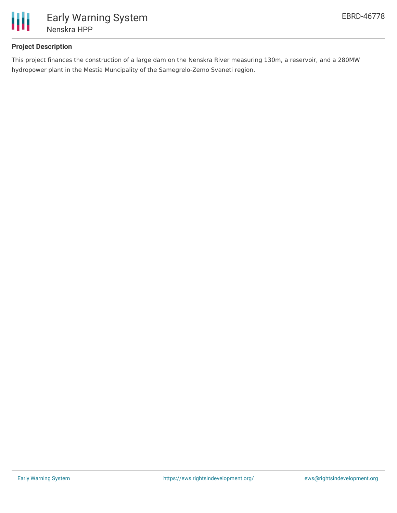

## **Project Description**

This project finances the construction of a large dam on the Nenskra River measuring 130m, a reservoir, and a 280MW hydropower plant in the Mestia Muncipality of the Samegrelo-Zemo Svaneti region.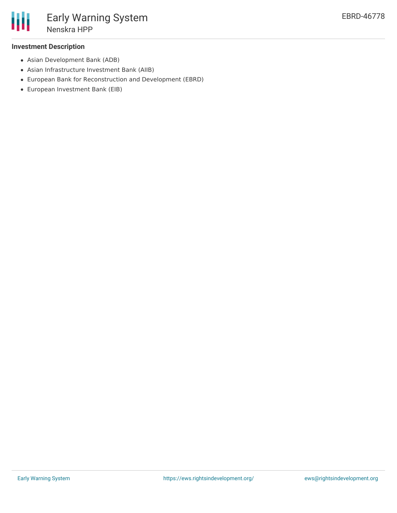

#### **Investment Description**

- Asian Development Bank (ADB)
- Asian Infrastructure Investment Bank (AIIB)
- European Bank for Reconstruction and Development (EBRD)
- European Investment Bank (EIB)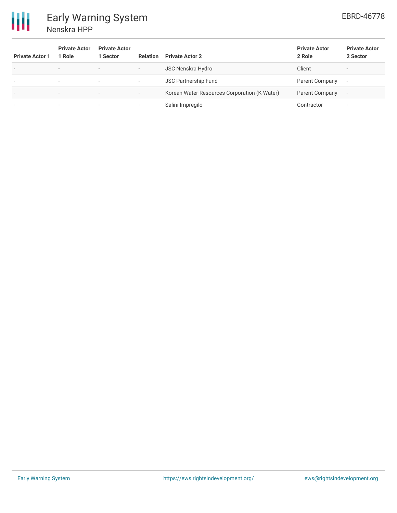

| <b>Private Actor 1</b>   | <b>Private Actor</b><br>1 Role | <b>Private Actor</b><br>1 Sector | <b>Relation</b>          | <b>Private Actor 2</b>                       | <b>Private Actor</b><br>2 Role | <b>Private Actor</b><br>2 Sector |
|--------------------------|--------------------------------|----------------------------------|--------------------------|----------------------------------------------|--------------------------------|----------------------------------|
| $\overline{\phantom{a}}$ | $\overline{\phantom{0}}$       | $\overline{\phantom{0}}$         | $\overline{\phantom{a}}$ | <b>JSC Nenskra Hydro</b>                     | Client                         |                                  |
|                          | . .                            | . .                              | $\overline{\phantom{a}}$ | <b>JSC Partnership Fund</b>                  | Parent Company                 |                                  |
| $\overline{\phantom{0}}$ | $\overline{\phantom{0}}$       | $\overline{\phantom{a}}$         | $\overline{\phantom{a}}$ | Korean Water Resources Corporation (K-Water) | Parent Company                 |                                  |
|                          | . .                            | . .                              | $\overline{\phantom{a}}$ | Salini Impregilo                             | Contractor                     |                                  |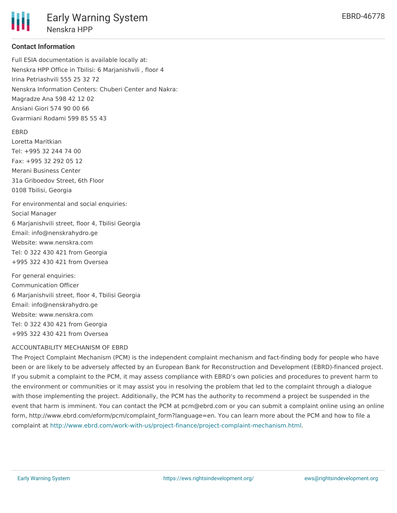Nenskra HPP

## **Contact Information**

Full ESIA documentation is available locally at: Nenskra HPP Office in Tbilisi: 6 Marjanishvili , floor 4 Irina Petriashvili 555 25 32 72 Nenskra Information Centers: Chuberi Center and Nakra: Magradze Ana 598 42 12 02 Ansiani Giori 574 90 00 66 Gvarmiani Rodami 599 85 55 43

### EBRD

Loretta Maritkian Tel: +995 32 244 74 00 Fax: +995 32 292 05 12 Merani Business Center 31a Griboedov Street, 6th Floor 0108 Tbilisi, Georgia

For environmental and social enquiries: Social Manager 6 Marjanishvili street, floor 4, Tbilisi Georgia Email: info@nenskrahydro.ge Website: www.nenskra.com Tel: 0 322 430 421 from Georgia +995 322 430 421 from Oversea

For general enquiries: Communication Officer 6 Marjanishvili street, floor 4, Tbilisi Georgia Email: info@nenskrahydro.ge Website: www.nenskra.com Tel: 0 322 430 421 from Georgia +995 322 430 421 from Oversea

### ACCOUNTABILITY MECHANISM OF EBRD

The Project Complaint Mechanism (PCM) is the independent complaint mechanism and fact-finding body for people who have been or are likely to be adversely affected by an European Bank for Reconstruction and Development (EBRD)-financed project. If you submit a complaint to the PCM, it may assess compliance with EBRD's own policies and procedures to prevent harm to the environment or communities or it may assist you in resolving the problem that led to the complaint through a dialogue with those implementing the project. Additionally, the PCM has the authority to recommend a project be suspended in the event that harm is imminent. You can contact the PCM at pcm@ebrd.com or you can submit a complaint online using an online form, http://www.ebrd.com/eform/pcm/complaint\_form?language=en. You can learn more about the PCM and how to file a complaint at <http://www.ebrd.com/work-with-us/project-finance/project-complaint-mechanism.html>.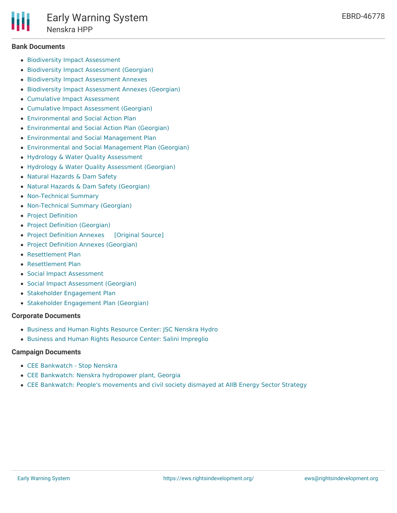

#### **Bank Documents**

- **Biodiversity Impact [Assessment](http://www.ebrd.com/cs/Satellite?c=Content&cid=1395255174545&d=&pagename=EBRD%2FContent%2FDownloadDocument)**
- **Biodiversity Impact [Assessment](http://www.ebrd.com/cs/Satellite?c=Content&cid=1395255276668&d=&pagename=EBRD%2FContent%2FDownloadDocument) (Georgian)**
- **Biodiversity Impact [Assessment](http://www.ebrd.com/cs/Satellite?c=Content&cid=1395255174491&d=&pagename=EBRD%2FContent%2FDownloadDocument) Annexes**
- Biodiversity Impact [Assessment](http://www.ebrd.com/cs/Satellite?c=Content&cid=1395255281682&d=&pagename=EBRD%2FContent%2FDownloadDocument) Annexes (Georgian)
- Cumulative Impact [Assessment](http://www.ebrd.com/cs/Satellite?c=Content&cid=1395255175044&d=&pagename=EBRD%2FContent%2FDownloadDocument)
- Cumulative Impact [Assessment](http://www.ebrd.com/cs/Satellite?c=Content&cid=1395255296364&d=&pagename=EBRD%2FContent%2FDownloadDocument) (Georgian)
- [Environmental](http://www.ebrd.com/cs/Satellite?c=Content&cid=1395255295575&d=&pagename=EBRD%2FContent%2FDownloadDocument) and Social Action Plan
- [Environmental](http://www.ebrd.com/cs/Satellite?c=Content&cid=1395255295629&d=&pagename=EBRD%2FContent%2FDownloadDocument) and Social Action Plan (Georgian)
- [Environmental](http://www.ebrd.com/cs/Satellite?c=Content&cid=1395255174790&d=&pagename=EBRD%2FContent%2FDownloadDocument) and Social Management Plan
- [Environmental](http://www.ebrd.com/cs/Satellite?c=Content&cid=1395255296241&d=&pagename=EBRD%2FContent%2FDownloadDocument) and Social Management Plan (Georgian)
- Hydrology & Water Quality [Assessment](http://www.ebrd.com/cs/Satellite?c=Content&cid=1395255174616&d=&pagename=EBRD%2FContent%2FDownloadDocument)
- Hydrology & Water Quality [Assessment](http://www.ebrd.com/cs/Satellite?c=Content&cid=1395255295899&d=&pagename=EBRD%2FContent%2FDownloadDocument) (Georgian)
- Natural [Hazards](http://www.ebrd.com/cs/Satellite?c=Content&cid=1395255174670&d=&pagename=EBRD%2FContent%2FDownloadDocument) & Dam Safety
- Natural Hazards & Dam Safety [\(Georgian\)](http://www.ebrd.com/cs/Satellite?c=Content&cid=1395255296119&d=&pagename=EBRD%2FContent%2FDownloadDocument)
- [Non-Technical](http://www.ebrd.com/cs/Satellite?c=Content&cid=1395255174174&d=&pagename=EBRD%2FContent%2FDownloadDocument) Summary
- [Non-Technical](http://www.ebrd.com/cs/Satellite?c=Content&cid=1395255276550&d=&pagename=EBRD%2FContent%2FDownloadDocument) Summary (Georgian)
- Project [Definition](http://www.ebrd.com/cs/Satellite?c=Content&cid=1395255174383&d=&pagename=EBRD%2FContent%2FDownloadDocument)
- Project Definition [\(Georgian\)](http://www.ebrd.com/cs/Satellite?c=Content&cid=1395255276609&d=&pagename=EBRD%2FContent%2FDownloadDocument)
- Project [Definition](https://ewsdata.rightsindevelopment.org/files/documents/78/EBRD-46778.pdf) Annexes [\[Original](http://www.ebrd.com/cs/Satellite?c=Content&cid=1395255174329&d=&pagename=EBRD%2FContent%2FDownloadDocument) Source]
- Project Definition Annexes [\(Georgian\)](http://www.ebrd.com/cs/Satellite?c=Content&cid=1395255295766&d=&pagename=EBRD%2FContent%2FDownloadDocument)
- [Resettlement](http://www.ebrd.com/cs/Satellite?c=Content&cid=1395255174844&d=&pagename=EBRD%2FContent%2FDownloadDocument) Plan
- [Resettlement](http://www.ebrd.com/cs/Satellite?c=Content&cid=1395255304766&d=&pagename=EBRD%2FContent%2FDownloadDocument) Plan
- Social Impact [Assessment](http://www.ebrd.com/cs/Satellite?c=Content&cid=1395255174437&d=&pagename=EBRD%2FContent%2FDownloadDocument)
- Social Impact [Assessment](http://www.ebrd.com/cs/Satellite?c=Content&cid=1395255305218&d=&pagename=EBRD%2FContent%2FDownloadDocument) (Georgian)
- Stakeholder [Engagement](http://www.ebrd.com/cs/Satellite?c=Content&cid=1395255174734&d=&pagename=EBRD%2FContent%2FDownloadDocument) Plan
- Stakeholder [Engagement](http://www.ebrd.com/cs/Satellite?c=Content&cid=1395255315928&d=&pagename=EBRD%2FContent%2FDownloadDocument) Plan (Georgian)

#### **Corporate Documents**

- Business and Human Rights [Resource](https://business-humanrights.org/en/search-results?langcode=en&keywords=Nenskra&pagenum=0) Center: JSC Nenskra Hydro
- Business and Human Rights Resource Center: Salini [Impreglio](https://business-humanrights.org/en/salini-impregilo)

#### **Campaign Documents**

- CEE [Bankwatch](https://bankwatch.org/stop-nenskra) Stop Nenskra
- CEE Bankwatch: Nenskra [hydropower](https://bankwatch.org/our-work/projects/nenskra-hydropower-plant-georgia) plant, Georgia
- CEE Bankwatch: People's [movements](https://bankwatch.org/news-media/for-journalists/press-releases/peoples-movements-and-civil-society-dismayed-aiib-energy-s) and civil society dismayed at AIIB Energy Sector Strategy